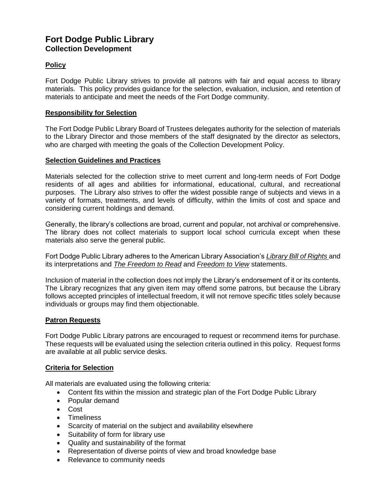# **Fort Dodge Public Library Collection Development**

# **Policy**

Fort Dodge Public Library strives to provide all patrons with fair and equal access to library materials. This policy provides guidance for the selection, evaluation, inclusion, and retention of materials to anticipate and meet the needs of the Fort Dodge community.

## **Responsibility for Selection**

The Fort Dodge Public Library Board of Trustees delegates authority for the selection of materials to the Library Director and those members of the staff designated by the director as selectors, who are charged with meeting the goals of the Collection Development Policy.

## **Selection Guidelines and Practices**

Materials selected for the collection strive to meet current and long-term needs of Fort Dodge residents of all ages and abilities for informational, educational, cultural, and recreational purposes. The Library also strives to offer the widest possible range of subjects and views in a variety of formats, treatments, and levels of difficulty, within the limits of cost and space and considering current holdings and demand.

Generally, the library's collections are broad, current and popular, not archival or comprehensive. The library does not collect materials to support local school curricula except when these materials also serve the general public.

Fort Dodge Public Library adheres to the American Library Association's *Library Bill of Rights* and its interpretations and *The Freedom to Read* and *Freedom to View* statements.

Inclusion of material in the collection does not imply the Library's endorsement of it or its contents. The Library recognizes that any given item may offend some patrons, but because the Library follows accepted principles of intellectual freedom, it will not remove specific titles solely because individuals or groups may find them objectionable.

## **Patron Requests**

Fort Dodge Public Library patrons are encouraged to request or recommend items for purchase. These requests will be evaluated using the selection criteria outlined in this policy. Request forms are available at all public service desks.

# **Criteria for Selection**

All materials are evaluated using the following criteria:

- Content fits within the mission and strategic plan of the Fort Dodge Public Library
- Popular demand
- Cost
- Timeliness
- Scarcity of material on the subject and availability elsewhere
- Suitability of form for library use
- Quality and sustainability of the format
- Representation of diverse points of view and broad knowledge base
- Relevance to community needs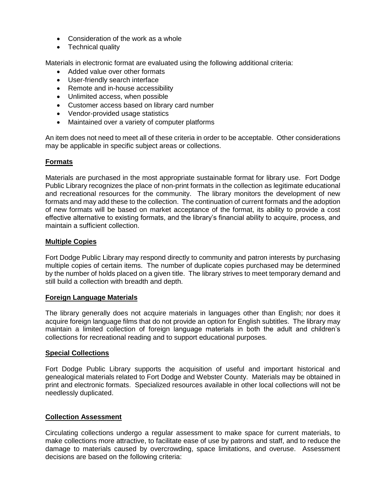- Consideration of the work as a whole
- Technical quality

Materials in electronic format are evaluated using the following additional criteria:

- Added value over other formats
- User-friendly search interface
- Remote and in-house accessibility
- Unlimited access, when possible
- Customer access based on library card number
- Vendor-provided usage statistics
- Maintained over a variety of computer platforms

An item does not need to meet all of these criteria in order to be acceptable. Other considerations may be applicable in specific subject areas or collections.

# **Formats**

Materials are purchased in the most appropriate sustainable format for library use. Fort Dodge Public Library recognizes the place of non-print formats in the collection as legitimate educational and recreational resources for the community. The library monitors the development of new formats and may add these to the collection. The continuation of current formats and the adoption of new formats will be based on market acceptance of the format, its ability to provide a cost effective alternative to existing formats, and the library's financial ability to acquire, process, and maintain a sufficient collection.

## **Multiple Copies**

Fort Dodge Public Library may respond directly to community and patron interests by purchasing multiple copies of certain items. The number of duplicate copies purchased may be determined by the number of holds placed on a given title. The library strives to meet temporary demand and still build a collection with breadth and depth.

## **Foreign Language Materials**

The library generally does not acquire materials in languages other than English; nor does it acquire foreign language films that do not provide an option for English subtitles. The library may maintain a limited collection of foreign language materials in both the adult and children's collections for recreational reading and to support educational purposes.

## **Special Collections**

Fort Dodge Public Library supports the acquisition of useful and important historical and genealogical materials related to Fort Dodge and Webster County. Materials may be obtained in print and electronic formats. Specialized resources available in other local collections will not be needlessly duplicated.

## **Collection Assessment**

Circulating collections undergo a regular assessment to make space for current materials, to make collections more attractive, to facilitate ease of use by patrons and staff, and to reduce the damage to materials caused by overcrowding, space limitations, and overuse. Assessment decisions are based on the following criteria: